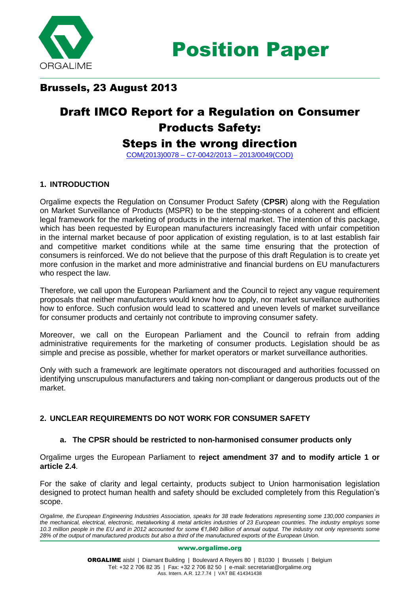

### Brussels, 23 August 2013

# Draft IMCO Report for a Regulation on Consumer Products Safety:

## Steps in the wrong direction

[COM\(2013\)0078 –](http://www.europarl.europa.eu/sides/getDoc.do?type=COMPARL&mode=XML&language=EN&reference=PE513.309) C7-0042/2013 – 2013/0049(COD)

### **1. INTRODUCTION**

Orgalime expects the Regulation on Consumer Product Safety (**CPSR**) along with the Regulation on Market Surveillance of Products (MSPR) to be the stepping-stones of a coherent and efficient legal framework for the marketing of products in the internal market. The intention of this package, which has been requested by European manufacturers increasingly faced with unfair competition in the internal market because of poor application of existing regulation, is to at last establish fair and competitive market conditions while at the same time ensuring that the protection of consumers is reinforced. We do not believe that the purpose of this draft Regulation is to create yet more confusion in the market and more administrative and financial burdens on EU manufacturers who respect the law.

Therefore, we call upon the European Parliament and the Council to reject any vague requirement proposals that neither manufacturers would know how to apply, nor market surveillance authorities how to enforce. Such confusion would lead to scattered and uneven levels of market surveillance for consumer products and certainly not contribute to improving consumer safety.

Moreover, we call on the European Parliament and the Council to refrain from adding administrative requirements for the marketing of consumer products. Legislation should be as simple and precise as possible, whether for market operators or market surveillance authorities.

Only with such a framework are legitimate operators not discouraged and authorities focussed on identifying unscrupulous manufacturers and taking non-compliant or dangerous products out of the market.

### **2. UNCLEAR REQUIREMENTS DO NOT WORK FOR CONSUMER SAFETY**

#### **a. The CPSR should be restricted to non-harmonised consumer products only**

Orgalime urges the European Parliament to **reject amendment 37 and to modify article 1 or article 2.4**.

For the sake of clarity and legal certainty, products subject to Union harmonisation legislation designed to protect human health and safety should be excluded completely from this Regulation's scope.

#### www.orgalime.org

*Orgalime, the European Engineering Industries Association, speaks for 38 trade federations representing some 130,000 companies in the mechanical, electrical, electronic, metalworking & metal articles industries of 23 European countries. The industry employs some 10.3 million people in the EU and in 2012 accounted for some €1,840 billion of annual output. The industry not only represents some 28% of the output of manufactured products but also a third of the manufactured exports of the European Union.*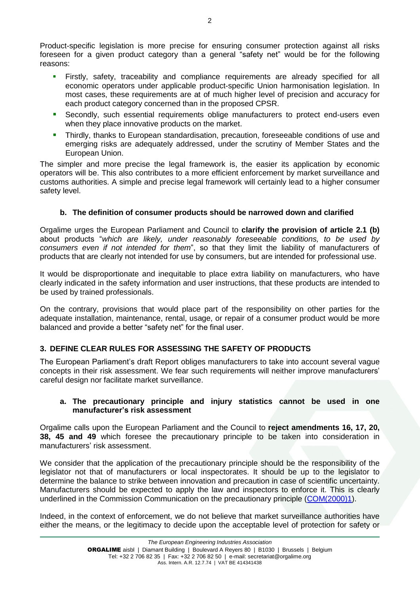Product-specific legislation is more precise for ensuring consumer protection against all risks foreseen for a given product category than a general "safety net" would be for the following reasons:

- Firstly, safety, traceability and compliance requirements are already specified for all economic operators under applicable product-specific Union harmonisation legislation. In most cases, these requirements are at of much higher level of precision and accuracy for each product category concerned than in the proposed CPSR.
- Secondly, such essential requirements oblige manufacturers to protect end-users even when they place innovative products on the market.
- Thirdly, thanks to European standardisation, precaution, foreseeable conditions of use and emerging risks are adequately addressed, under the scrutiny of Member States and the European Union.

The simpler and more precise the legal framework is, the easier its application by economic operators will be. This also contributes to a more efficient enforcement by market surveillance and customs authorities. A simple and precise legal framework will certainly lead to a higher consumer safety level.

### **b. The definition of consumer products should be narrowed down and clarified**

Orgalime urges the European Parliament and Council to **clarify the provision of article 2.1 (b)** about products "*which are likely, under reasonably foreseeable conditions, to be used by consumers even if not intended for them*", so that they limit the liability of manufacturers of products that are clearly not intended for use by consumers, but are intended for professional use.

It would be disproportionate and inequitable to place extra liability on manufacturers, who have clearly indicated in the safety information and user instructions, that these products are intended to be used by trained professionals.

On the contrary, provisions that would place part of the responsibility on other parties for the adequate installation, maintenance, rental, usage, or repair of a consumer product would be more balanced and provide a better "safety net" for the final user.

### **3. DEFINE CLEAR RULES FOR ASSESSING THE SAFETY OF PRODUCTS**

The European Parliament's draft Report obliges manufacturers to take into account several vague concepts in their risk assessment. We fear such requirements will neither improve manufacturers' careful design nor facilitate market surveillance.

#### **a. The precautionary principle and injury statistics cannot be used in one manufacturer's risk assessment**

Orgalime calls upon the European Parliament and the Council to **reject amendments 16, 17, 20, 38, 45 and 49** which foresee the precautionary principle to be taken into consideration in manufacturers' risk assessment.

We consider that the application of the precautionary principle should be the responsibility of the legislator not that of manufacturers or local inspectorates. It should be up to the legislator to determine the balance to strike between innovation and precaution in case of scientific uncertainty. Manufacturers should be expected to apply the law and inspectors to enforce it. This is clearly underlined in the Commission Communication on the precautionary principle [\(COM\(2000\)1\)](http://www.google.be/url?sa=t&rct=j&q=&esrc=s&source=web&cd=1&ved=0CC8QFjAA&url=http%3A%2F%2Fec.europa.eu%2Fdgs%2Fhealth_consumer%2Flibrary%2Fpub%2Fpub07_en.pdf&ei=VGv7UZLENsj5PPrcgZAE&usg=AFQjCNGNbxRxiBab1rKTZJTuUSPkqAotmg&bvm=bv.50165853,d.ZWU&cad=rja).

Indeed, in the context of enforcement, we do not believe that market surveillance authorities have either the means, or the legitimacy to decide upon the acceptable level of protection for safety or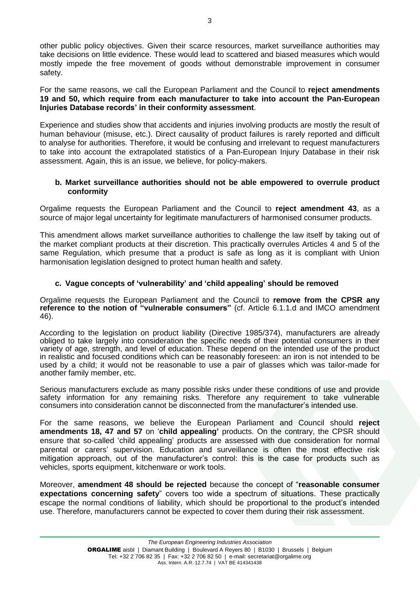other public policy objectives. Given their scarce resources, market surveillance authorities may take decisions on little evidence. These would lead to scattered and biased measures which would mostly impede the free movement of goods without demonstrable improvement in consumer safety.

For the same reasons, we call the European Parliament and the Council to **reject amendments 19 and 50, which require from each manufacturer to take into account the Pan-European Injuries Database records' in their conformity assessment**.

Experience and studies show that accidents and injuries involving products are mostly the result of human behaviour (misuse, etc.). Direct causality of product failures is rarely reported and difficult to analyse for authorities. Therefore, it would be confusing and irrelevant to request manufacturers to take into account the extrapolated statistics of a Pan-European Injury Database in their risk assessment. Again, this is an issue, we believe, for policy-makers.

#### **b. Market surveillance authorities should not be able empowered to overrule product conformity**

Orgalime requests the European Parliament and the Council to **reject amendment 43**, as a source of major legal uncertainty for legitimate manufacturers of harmonised consumer products.

This amendment allows market surveillance authorities to challenge the law itself by taking out of the market compliant products at their discretion. This practically overrules Articles 4 and 5 of the same Regulation, which presume that a product is safe as long as it is compliant with Union harmonisation legislation designed to protect human health and safety.

### **c. Vague concepts of 'vulnerability' and 'child appealing' should be removed**

Orgalime requests the European Parliament and the Council to **remove from the CPSR any reference to the notion of "vulnerable consumers"** (cf. Article 6.1.1.d and IMCO amendment 46).

According to the legislation on product liability (Directive 1985/374), manufacturers are already obliged to take largely into consideration the specific needs of their potential consumers in their variety of age, strength, and level of education. These depend on the intended use of the product in realistic and focused conditions which can be reasonably foreseen: an iron is not intended to be used by a child; it would not be reasonable to use a pair of glasses which was tailor-made for another family member, etc.

Serious manufacturers exclude as many possible risks under these conditions of use and provide safety information for any remaining risks. Therefore any requirement to take vulnerable consumers into consideration cannot be disconnected from the manufacturer's intended use.

For the same reasons, we believe the European Parliament and Council should **reject amendments 18, 47 and 57** on '**child appealing'** products. On the contrary, the CPSR should ensure that so-called 'child appealing' products are assessed with due consideration for normal parental or carers' supervision. Education and surveillance is often the most effective risk mitigation approach, out of the manufacturer's control: this is the case for products such as vehicles, sports equipment, kitchenware or work tools.

Moreover, **amendment 48 should be rejected** because the concept of "**reasonable consumer expectations concerning safety**" covers too wide a spectrum of situations. These practically escape the normal conditions of liability, which should be proportional to the product's intended use. Therefore, manufacturers cannot be expected to cover them during their risk assessment.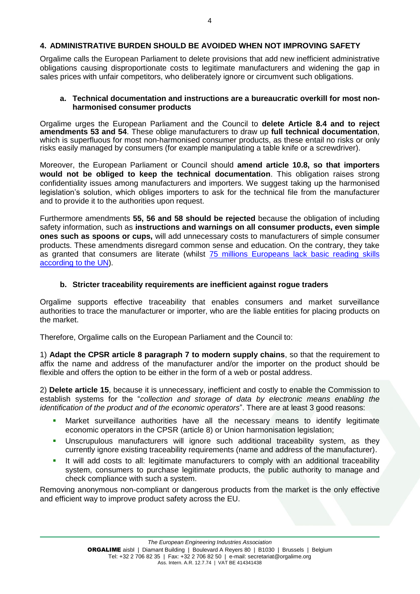#### **4. ADMINISTRATIVE BURDEN SHOULD BE AVOIDED WHEN NOT IMPROVING SAFETY**

Orgalime calls the European Parliament to delete provisions that add new inefficient administrative obligations causing disproportionate costs to legitimate manufacturers and widening the gap in sales prices with unfair competitors, who deliberately ignore or circumvent such obligations.

#### **a. Technical documentation and instructions are a bureaucratic overkill for most nonharmonised consumer products**

Orgalime urges the European Parliament and the Council to **delete Article 8.4 and to reject amendments 53 and 54**. These oblige manufacturers to draw up **full technical documentation**, which is superfluous for most non-harmonised consumer products, as these entail no risks or only risks easily managed by consumers (for example manipulating a table knife or a screwdriver).

Moreover, the European Parliament or Council should **amend article 10.8, so that importers would not be obliged to keep the technical documentation**. This obligation raises strong confidentiality issues among manufacturers and importers. We suggest taking up the harmonised legislation's solution, which obliges importers to ask for the technical file from the manufacturer and to provide it to the authorities upon request.

Furthermore amendments **55, 56 and 58 should be rejected** because the obligation of including safety information, such as **instructions and warnings on all consumer products, even simple ones such as spoons or cups,** will add unnecessary costs to manufacturers of simple consumer products. These amendments disregard common sense and education. On the contrary, they take as granted that consumers are literate (whilst [75 millions Europeans lack basic reading skills](http://www.unric.org/en/literacy/27799-eu-75-million-adults-lack-basic-reading-skills)  [according to the UN\)](http://www.unric.org/en/literacy/27799-eu-75-million-adults-lack-basic-reading-skills).

#### **b. Stricter traceability requirements are inefficient against rogue traders**

Orgalime supports effective traceability that enables consumers and market surveillance authorities to trace the manufacturer or importer, who are the liable entities for placing products on the market.

Therefore, Orgalime calls on the European Parliament and the Council to:

1) **Adapt the CPSR article 8 paragraph 7 to modern supply chains**, so that the requirement to affix the name and address of the manufacturer and/or the importer on the product should be flexible and offers the option to be either in the form of a web or postal address.

2) **Delete article 15**, because it is unnecessary, inefficient and costly to enable the Commission to establish systems for the "*collection and storage of data by electronic means enabling the identification of the product and of the economic operators*". There are at least 3 good reasons:

- Market surveillance authorities have all the necessary means to identify legitimate economic operators in the CPSR (article 8) or Union harmonisation legislation;
- Unscrupulous manufacturers will ignore such additional traceability system, as they currently ignore existing traceability requirements (name and address of the manufacturer).
- It will add costs to all: legitimate manufacturers to comply with an additional traceability system, consumers to purchase legitimate products, the public authority to manage and check compliance with such a system.

Removing anonymous non-compliant or dangerous products from the market is the only effective and efficient way to improve product safety across the EU.